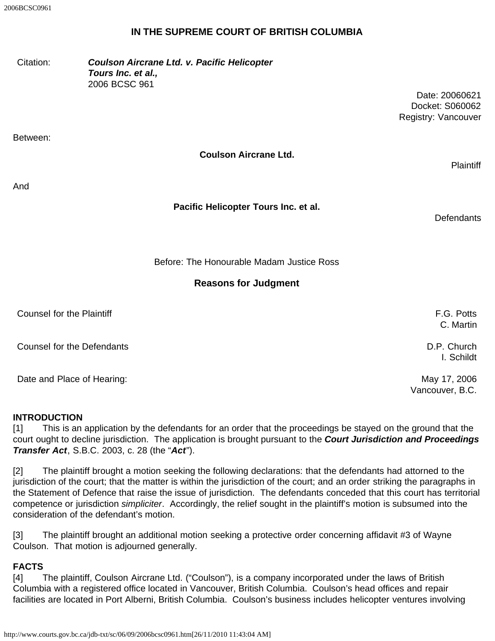### **IN THE SUPREME COURT OF BRITISH COLUMBIA**

| Citation:                         | Coulson Aircrane Ltd. v. Pacific Helicopter<br>Tours Inc. et al.,<br>2006 BCSC 961 | Date: 20060621<br>Docket: S060062<br>Registry: Vancouver |
|-----------------------------------|------------------------------------------------------------------------------------|----------------------------------------------------------|
| Between:                          |                                                                                    |                                                          |
|                                   | <b>Coulson Aircrane Ltd.</b>                                                       | <b>Plaintiff</b>                                         |
| And                               |                                                                                    |                                                          |
|                                   | Pacific Helicopter Tours Inc. et al.                                               | <b>Defendants</b>                                        |
|                                   | Before: The Honourable Madam Justice Ross                                          |                                                          |
|                                   | <b>Reasons for Judgment</b>                                                        |                                                          |
| <b>Counsel for the Plaintiff</b>  |                                                                                    | F.G. Potts<br>C. Martin                                  |
| <b>Counsel for the Defendants</b> |                                                                                    | D.P. Church<br>I. Schildt                                |
| Date and Place of Hearing:        |                                                                                    | May 17, 2006<br>Vancouver, B.C.                          |

#### **INTRODUCTION**

[1] This is an application by the defendants for an order that the proceedings be stayed on the ground that the court ought to decline jurisdiction. The application is brought pursuant to the *Court Jurisdiction and Proceedings Transfer Act*, S.B.C. 2003, c. 28 (the "*Act*").

[2] The plaintiff brought a motion seeking the following declarations: that the defendants had attorned to the jurisdiction of the court; that the matter is within the jurisdiction of the court; and an order striking the paragraphs in the Statement of Defence that raise the issue of jurisdiction. The defendants conceded that this court has territorial competence or jurisdiction *simpliciter*. Accordingly, the relief sought in the plaintiff's motion is subsumed into the consideration of the defendant's motion.

[3] The plaintiff brought an additional motion seeking a protective order concerning affidavit #3 of Wayne Coulson. That motion is adjourned generally.

#### **FACTS**

[4] The plaintiff, Coulson Aircrane Ltd. ("Coulson"), is a company incorporated under the laws of British Columbia with a registered office located in Vancouver, British Columbia. Coulson's head offices and repair facilities are located in Port Alberni, British Columbia. Coulson's business includes helicopter ventures involving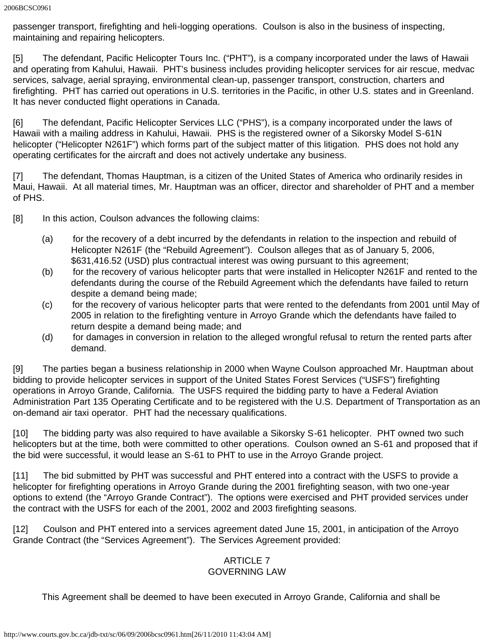passenger transport, firefighting and heli-logging operations. Coulson is also in the business of inspecting, maintaining and repairing helicopters.

[5] The defendant, Pacific Helicopter Tours Inc. ("PHT"), is a company incorporated under the laws of Hawaii and operating from Kahului, Hawaii. PHT's business includes providing helicopter services for air rescue, medvac services, salvage, aerial spraying, environmental clean-up, passenger transport, construction, charters and firefighting. PHT has carried out operations in U.S. territories in the Pacific, in other U.S. states and in Greenland. It has never conducted flight operations in Canada.

[6] The defendant, Pacific Helicopter Services LLC ("PHS"), is a company incorporated under the laws of Hawaii with a mailing address in Kahului, Hawaii. PHS is the registered owner of a Sikorsky Model S-61N helicopter ("Helicopter N261F") which forms part of the subject matter of this litigation. PHS does not hold any operating certificates for the aircraft and does not actively undertake any business.

[7] The defendant, Thomas Hauptman, is a citizen of the United States of America who ordinarily resides in Maui, Hawaii. At all material times, Mr. Hauptman was an officer, director and shareholder of PHT and a member of PHS.

[8] In this action, Coulson advances the following claims:

- (a) for the recovery of a debt incurred by the defendants in relation to the inspection and rebuild of Helicopter N261F (the "Rebuild Agreement"). Coulson alleges that as of January 5, 2006, \$631,416.52 (USD) plus contractual interest was owing pursuant to this agreement;
- (b) for the recovery of various helicopter parts that were installed in Helicopter N261F and rented to the defendants during the course of the Rebuild Agreement which the defendants have failed to return despite a demand being made;
- (c) for the recovery of various helicopter parts that were rented to the defendants from 2001 until May of 2005 in relation to the firefighting venture in Arroyo Grande which the defendants have failed to return despite a demand being made; and
- (d) for damages in conversion in relation to the alleged wrongful refusal to return the rented parts after demand.

[9] The parties began a business relationship in 2000 when Wayne Coulson approached Mr. Hauptman about bidding to provide helicopter services in support of the United States Forest Services ("USFS") firefighting operations in Arroyo Grande, California. The USFS required the bidding party to have a Federal Aviation Administration Part 135 Operating Certificate and to be registered with the U.S. Department of Transportation as an on-demand air taxi operator. PHT had the necessary qualifications.

[10] The bidding party was also required to have available a Sikorsky S-61 helicopter. PHT owned two such helicopters but at the time, both were committed to other operations. Coulson owned an S-61 and proposed that if the bid were successful, it would lease an S-61 to PHT to use in the Arroyo Grande project.

[11] The bid submitted by PHT was successful and PHT entered into a contract with the USFS to provide a helicopter for firefighting operations in Arroyo Grande during the 2001 firefighting season, with two one-year options to extend (the "Arroyo Grande Contract"). The options were exercised and PHT provided services under the contract with the USFS for each of the 2001, 2002 and 2003 firefighting seasons.

[12] Coulson and PHT entered into a services agreement dated June 15, 2001, in anticipation of the Arroyo Grande Contract (the "Services Agreement"). The Services Agreement provided:

#### ARTICLE 7 GOVERNING LAW

This Agreement shall be deemed to have been executed in Arroyo Grande, California and shall be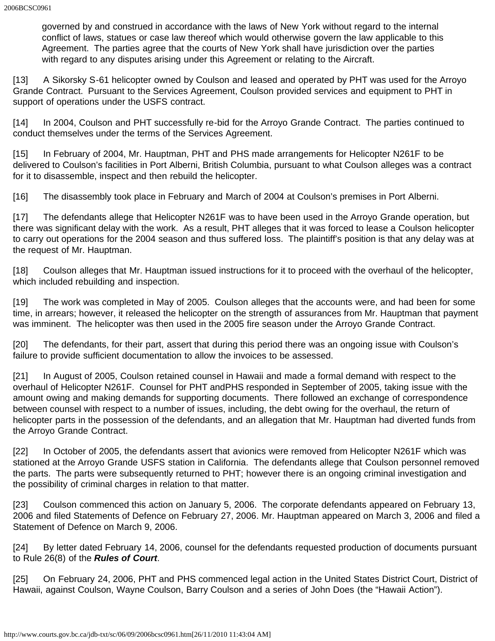governed by and construed in accordance with the laws of New York without regard to the internal conflict of laws, statues or case law thereof which would otherwise govern the law applicable to this Agreement. The parties agree that the courts of New York shall have jurisdiction over the parties with regard to any disputes arising under this Agreement or relating to the Aircraft.

[13] A Sikorsky S-61 helicopter owned by Coulson and leased and operated by PHT was used for the Arroyo Grande Contract. Pursuant to the Services Agreement, Coulson provided services and equipment to PHT in support of operations under the USFS contract.

[14] In 2004, Coulson and PHT successfully re-bid for the Arroyo Grande Contract. The parties continued to conduct themselves under the terms of the Services Agreement.

[15] In February of 2004, Mr. Hauptman, PHT and PHS made arrangements for Helicopter N261F to be delivered to Coulson's facilities in Port Alberni, British Columbia, pursuant to what Coulson alleges was a contract for it to disassemble, inspect and then rebuild the helicopter.

[16] The disassembly took place in February and March of 2004 at Coulson's premises in Port Alberni.

[17] The defendants allege that Helicopter N261F was to have been used in the Arroyo Grande operation, but there was significant delay with the work. As a result, PHT alleges that it was forced to lease a Coulson helicopter to carry out operations for the 2004 season and thus suffered loss. The plaintiff's position is that any delay was at the request of Mr. Hauptman.

[18] Coulson alleges that Mr. Hauptman issued instructions for it to proceed with the overhaul of the helicopter, which included rebuilding and inspection.

[19] The work was completed in May of 2005. Coulson alleges that the accounts were, and had been for some time, in arrears; however, it released the helicopter on the strength of assurances from Mr. Hauptman that payment was imminent. The helicopter was then used in the 2005 fire season under the Arroyo Grande Contract.

[20] The defendants, for their part, assert that during this period there was an ongoing issue with Coulson's failure to provide sufficient documentation to allow the invoices to be assessed.

[21] In August of 2005, Coulson retained counsel in Hawaii and made a formal demand with respect to the overhaul of Helicopter N261F. Counsel for PHT andPHS responded in September of 2005, taking issue with the amount owing and making demands for supporting documents. There followed an exchange of correspondence between counsel with respect to a number of issues, including, the debt owing for the overhaul, the return of helicopter parts in the possession of the defendants, and an allegation that Mr. Hauptman had diverted funds from the Arroyo Grande Contract.

[22] In October of 2005, the defendants assert that avionics were removed from Helicopter N261F which was stationed at the Arroyo Grande USFS station in California. The defendants allege that Coulson personnel removed the parts. The parts were subsequently returned to PHT; however there is an ongoing criminal investigation and the possibility of criminal charges in relation to that matter.

[23] Coulson commenced this action on January 5, 2006. The corporate defendants appeared on February 13, 2006 and filed Statements of Defence on February 27, 2006. Mr. Hauptman appeared on March 3, 2006 and filed a Statement of Defence on March 9, 2006.

[24] By letter dated February 14, 2006, counsel for the defendants requested production of documents pursuant to Rule 26(8) of the *Rules of Court*.

[25] On February 24, 2006, PHT and PHS commenced legal action in the United States District Court, District of Hawaii, against Coulson, Wayne Coulson, Barry Coulson and a series of John Does (the "Hawaii Action").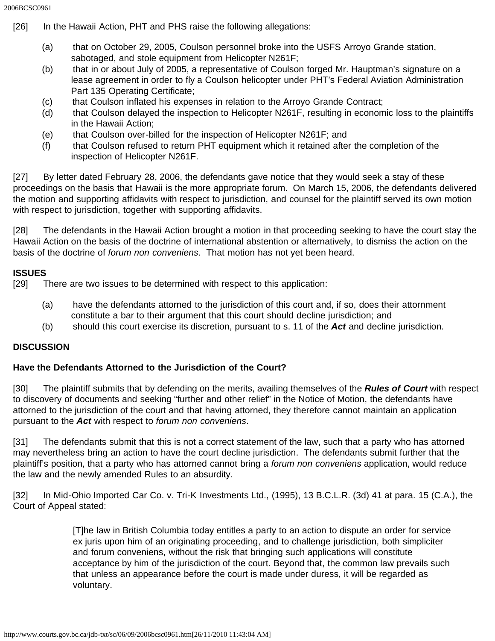- [26] In the Hawaii Action, PHT and PHS raise the following allegations:
	- (a) that on October 29, 2005, Coulson personnel broke into the USFS Arroyo Grande station, sabotaged, and stole equipment from Helicopter N261F;
	- (b) that in or about July of 2005, a representative of Coulson forged Mr. Hauptman's signature on a lease agreement in order to fly a Coulson helicopter under PHT's Federal Aviation Administration Part 135 Operating Certificate;
	- (c) that Coulson inflated his expenses in relation to the Arroyo Grande Contract;
	- (d) that Coulson delayed the inspection to Helicopter N261F, resulting in economic loss to the plaintiffs in the Hawaii Action;
	- (e) that Coulson over-billed for the inspection of Helicopter N261F; and
	- (f) that Coulson refused to return PHT equipment which it retained after the completion of the inspection of Helicopter N261F.

[27] By letter dated February 28, 2006, the defendants gave notice that they would seek a stay of these proceedings on the basis that Hawaii is the more appropriate forum. On March 15, 2006, the defendants delivered the motion and supporting affidavits with respect to jurisdiction, and counsel for the plaintiff served its own motion with respect to jurisdiction, together with supporting affidavits.

[28] The defendants in the Hawaii Action brought a motion in that proceeding seeking to have the court stay the Hawaii Action on the basis of the doctrine of international abstention or alternatively, to dismiss the action on the basis of the doctrine of *forum non conveniens*. That motion has not yet been heard.

### **ISSUES**

[29] There are two issues to be determined with respect to this application:

- (a) have the defendants attorned to the jurisdiction of this court and, if so, does their attornment constitute a bar to their argument that this court should decline jurisdiction; and
- (b) should this court exercise its discretion, pursuant to s. 11 of the *Act* and decline jurisdiction.

### **DISCUSSION**

#### **Have the Defendants Attorned to the Jurisdiction of the Court?**

[30] The plaintiff submits that by defending on the merits, availing themselves of the *Rules of Court* with respect to discovery of documents and seeking "further and other relief" in the Notice of Motion, the defendants have attorned to the jurisdiction of the court and that having attorned, they therefore cannot maintain an application pursuant to the *Act* with respect to *forum non conveniens*.

[31] The defendants submit that this is not a correct statement of the law, such that a party who has attorned may nevertheless bring an action to have the court decline jurisdiction. The defendants submit further that the plaintiff's position, that a party who has attorned cannot bring a *forum non conveniens* application, would reduce the law and the newly amended Rules to an absurdity.

[32] In Mid-Ohio Imported Car Co. v. Tri-K Investments Ltd., (1995), 13 B.C.L.R. (3d) 41 at para. 15 (C.A.), the Court of Appeal stated:

> [T]he law in British Columbia today entitles a party to an action to dispute an order for service ex juris upon him of an originating proceeding, and to challenge jurisdiction, both simpliciter and forum conveniens, without the risk that bringing such applications will constitute acceptance by him of the jurisdiction of the court. Beyond that, the common law prevails such that unless an appearance before the court is made under duress, it will be regarded as voluntary.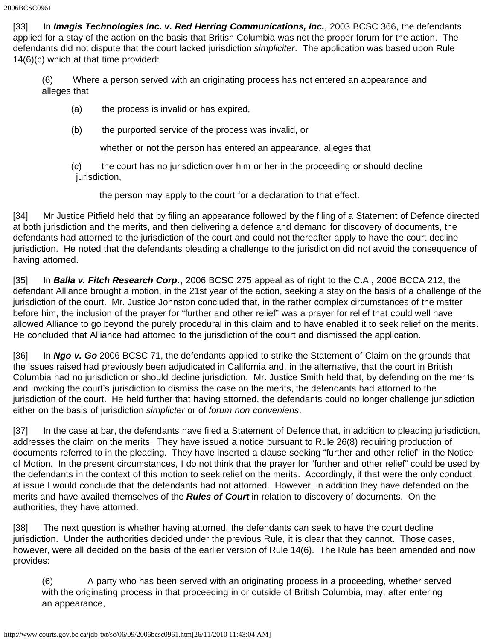[33] In *Imagis Technologies Inc. v. Red Herring Communications, Inc.*, 2003 BCSC 366, the defendants applied for a stay of the action on the basis that British Columbia was not the proper forum for the action. The defendants did not dispute that the court lacked jurisdiction *simpliciter*. The application was based upon Rule 14(6)(c) which at that time provided:

(6) Where a person served with an originating process has not entered an appearance and alleges that

- (a) the process is invalid or has expired,
- (b) the purported service of the process was invalid, or

whether or not the person has entered an appearance, alleges that

(c) the court has no jurisdiction over him or her in the proceeding or should decline jurisdiction,

the person may apply to the court for a declaration to that effect.

[34] Mr Justice Pitfield held that by filing an appearance followed by the filing of a Statement of Defence directed at both jurisdiction and the merits, and then delivering a defence and demand for discovery of documents, the defendants had attorned to the jurisdiction of the court and could not thereafter apply to have the court decline jurisdiction. He noted that the defendants pleading a challenge to the jurisdiction did not avoid the consequence of having attorned.

[35] In *Balla v. Fitch Research Corp.*, 2006 BCSC 275 appeal as of right to the C.A., 2006 BCCA 212, the defendant Alliance brought a motion, in the 21st year of the action, seeking a stay on the basis of a challenge of the jurisdiction of the court. Mr. Justice Johnston concluded that, in the rather complex circumstances of the matter before him, the inclusion of the prayer for "further and other relief" was a prayer for relief that could well have allowed Alliance to go beyond the purely procedural in this claim and to have enabled it to seek relief on the merits. He concluded that Alliance had attorned to the jurisdiction of the court and dismissed the application.

[36] In *Ngo v. Go* 2006 BCSC 71, the defendants applied to strike the Statement of Claim on the grounds that the issues raised had previously been adjudicated in California and, in the alternative, that the court in British Columbia had no jurisdiction or should decline jurisdiction. Mr. Justice Smith held that, by defending on the merits and invoking the court's jurisdiction to dismiss the case on the merits, the defendants had attorned to the jurisdiction of the court. He held further that having attorned, the defendants could no longer challenge jurisdiction either on the basis of jurisdiction *simplicter* or of *forum non conveniens*.

[37] In the case at bar, the defendants have filed a Statement of Defence that, in addition to pleading jurisdiction, addresses the claim on the merits. They have issued a notice pursuant to Rule 26(8) requiring production of documents referred to in the pleading. They have inserted a clause seeking "further and other relief" in the Notice of Motion. In the present circumstances, I do not think that the prayer for "further and other relief" could be used by the defendants in the context of this motion to seek relief on the merits. Accordingly, if that were the only conduct at issue I would conclude that the defendants had not attorned. However, in addition they have defended on the merits and have availed themselves of the *Rules of Court* in relation to discovery of documents. On the authorities, they have attorned.

[38] The next question is whether having attorned, the defendants can seek to have the court decline jurisdiction. Under the authorities decided under the previous Rule, it is clear that they cannot. Those cases, however, were all decided on the basis of the earlier version of Rule 14(6). The Rule has been amended and now provides:

(6) A party who has been served with an originating process in a proceeding, whether served with the originating process in that proceeding in or outside of British Columbia, may, after entering an appearance,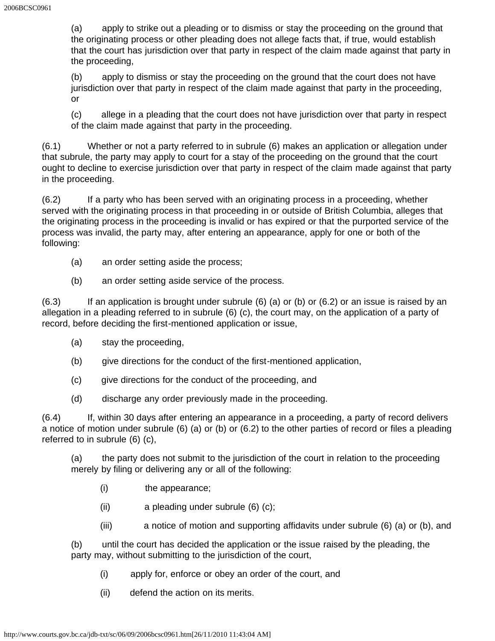(a) apply to strike out a pleading or to dismiss or stay the proceeding on the ground that the originating process or other pleading does not allege facts that, if true, would establish that the court has jurisdiction over that party in respect of the claim made against that party in the proceeding,

(b) apply to dismiss or stay the proceeding on the ground that the court does not have jurisdiction over that party in respect of the claim made against that party in the proceeding, or

(c) allege in a pleading that the court does not have jurisdiction over that party in respect of the claim made against that party in the proceeding.

(6.1) Whether or not a party referred to in subrule (6) makes an application or allegation under that subrule, the party may apply to court for a stay of the proceeding on the ground that the court ought to decline to exercise jurisdiction over that party in respect of the claim made against that party in the proceeding.

(6.2) If a party who has been served with an originating process in a proceeding, whether served with the originating process in that proceeding in or outside of British Columbia, alleges that the originating process in the proceeding is invalid or has expired or that the purported service of the process was invalid, the party may, after entering an appearance, apply for one or both of the following:

- (a) an order setting aside the process;
- (b) an order setting aside service of the process.

 $(6.3)$  If an application is brought under subrule  $(6)$  (a) or  $(6.1)$  or  $(6.2)$  or an issue is raised by an allegation in a pleading referred to in subrule (6) (c), the court may, on the application of a party of record, before deciding the first-mentioned application or issue,

- (a) stay the proceeding,
- (b) give directions for the conduct of the first-mentioned application,
- (c) give directions for the conduct of the proceeding, and
- (d) discharge any order previously made in the proceeding.

(6.4) If, within 30 days after entering an appearance in a proceeding, a party of record delivers a notice of motion under subrule (6) (a) or (b) or (6.2) to the other parties of record or files a pleading referred to in subrule (6) (c),

(a) the party does not submit to the jurisdiction of the court in relation to the proceeding merely by filing or delivering any or all of the following:

- (i) the appearance;
- (ii) a pleading under subrule (6) (c);
- (iii) a notice of motion and supporting affidavits under subrule (6) (a) or (b), and

(b) until the court has decided the application or the issue raised by the pleading, the party may, without submitting to the jurisdiction of the court,

- (i) apply for, enforce or obey an order of the court, and
- (ii) defend the action on its merits.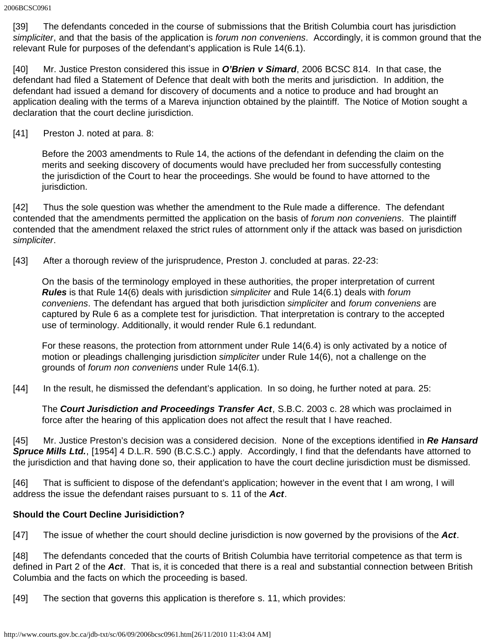[39] The defendants conceded in the course of submissions that the British Columbia court has jurisdiction *simpliciter*, and that the basis of the application is *forum non conveniens*. Accordingly, it is common ground that the relevant Rule for purposes of the defendant's application is Rule 14(6.1).

[40] Mr. Justice Preston considered this issue in *O'Brien v Simard*, 2006 BCSC 814. In that case, the defendant had filed a Statement of Defence that dealt with both the merits and jurisdiction. In addition, the defendant had issued a demand for discovery of documents and a notice to produce and had brought an application dealing with the terms of a Mareva injunction obtained by the plaintiff. The Notice of Motion sought a declaration that the court decline jurisdiction.

[41] Preston J. noted at para. 8:

Before the 2003 amendments to Rule 14, the actions of the defendant in defending the claim on the merits and seeking discovery of documents would have precluded her from successfully contesting the jurisdiction of the Court to hear the proceedings. She would be found to have attorned to the jurisdiction.

[42] Thus the sole question was whether the amendment to the Rule made a difference. The defendant contended that the amendments permitted the application on the basis of *forum non conveniens*. The plaintiff contended that the amendment relaxed the strict rules of attornment only if the attack was based on jurisdiction *simpliciter*.

[43] After a thorough review of the jurisprudence, Preston J. concluded at paras. 22-23:

On the basis of the terminology employed in these authorities, the proper interpretation of current *Rules* is that Rule 14(6) deals with jurisdiction *simpliciter* and Rule 14(6.1) deals with *forum conveniens*. The defendant has argued that both jurisdiction *simpliciter* and *forum conveniens* are captured by Rule 6 as a complete test for jurisdiction. That interpretation is contrary to the accepted use of terminology. Additionally, it would render Rule 6.1 redundant.

For these reasons, the protection from attornment under Rule 14(6.4) is only activated by a notice of motion or pleadings challenging jurisdiction *simpliciter* under Rule 14(6), not a challenge on the grounds of *forum non conveniens* under Rule 14(6.1).

[44] In the result, he dismissed the defendant's application. In so doing, he further noted at para. 25:

The *Court Jurisdiction and Proceedings Transfer Act*, S.B.C. 2003 c. 28 which was proclaimed in force after the hearing of this application does not affect the result that I have reached.

[45] Mr. Justice Preston's decision was a considered decision. None of the exceptions identified in Re Hansard *Spruce Mills Ltd.*, [1954] 4 D.L.R. 590 (B.C.S.C.) apply. Accordingly, I find that the defendants have attorned to the jurisdiction and that having done so, their application to have the court decline jurisdiction must be dismissed.

[46] That is sufficient to dispose of the defendant's application; however in the event that I am wrong, I will address the issue the defendant raises pursuant to s. 11 of the *Act*.

# **Should the Court Decline Jurisidiction?**

[47] The issue of whether the court should decline jurisdiction is now governed by the provisions of the *Act*.

[48] The defendants conceded that the courts of British Columbia have territorial competence as that term is defined in Part 2 of the *Act*. That is, it is conceded that there is a real and substantial connection between British Columbia and the facts on which the proceeding is based.

[49] The section that governs this application is therefore s. 11, which provides: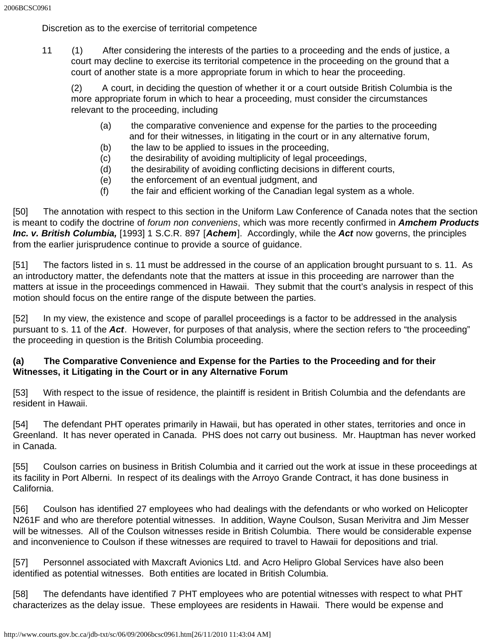Discretion as to the exercise of territorial competence

11 (1) After considering the interests of the parties to a proceeding and the ends of justice, a court may decline to exercise its territorial competence in the proceeding on the ground that a court of another state is a more appropriate forum in which to hear the proceeding.

(2) A court, in deciding the question of whether it or a court outside British Columbia is the more appropriate forum in which to hear a proceeding, must consider the circumstances relevant to the proceeding, including

- (a) the comparative convenience and expense for the parties to the proceeding and for their witnesses, in litigating in the court or in any alternative forum,
- (b) the law to be applied to issues in the proceeding,
- (c) the desirability of avoiding multiplicity of legal proceedings,
- (d) the desirability of avoiding conflicting decisions in different courts,
- (e) the enforcement of an eventual judgment, and
- (f) the fair and efficient working of the Canadian legal system as a whole.

[50] The annotation with respect to this section in the Uniform Law Conference of Canada notes that the section is meant to codify the doctrine of *forum non conveniens*, which was more recently confirmed in *Amchem Products Inc. v. British Columbia,* [1993] 1 S.C.R. 897 [*Achem*]. Accordingly, while the *Act* now governs, the principles from the earlier jurisprudence continue to provide a source of guidance.

[51] The factors listed in s. 11 must be addressed in the course of an application brought pursuant to s. 11. As an introductory matter, the defendants note that the matters at issue in this proceeding are narrower than the matters at issue in the proceedings commenced in Hawaii. They submit that the court's analysis in respect of this motion should focus on the entire range of the dispute between the parties.

[52] In my view, the existence and scope of parallel proceedings is a factor to be addressed in the analysis pursuant to s. 11 of the *Act*. However, for purposes of that analysis, where the section refers to "the proceeding" the proceeding in question is the British Columbia proceeding.

### **(a) The Comparative Convenience and Expense for the Parties to the Proceeding and for their Witnesses, it Litigating in the Court or in any Alternative Forum**

[53] With respect to the issue of residence, the plaintiff is resident in British Columbia and the defendants are resident in Hawaii.

[54] The defendant PHT operates primarily in Hawaii, but has operated in other states, territories and once in Greenland. It has never operated in Canada. PHS does not carry out business. Mr. Hauptman has never worked in Canada.

[55] Coulson carries on business in British Columbia and it carried out the work at issue in these proceedings at its facility in Port Alberni. In respect of its dealings with the Arroyo Grande Contract, it has done business in California.

[56] Coulson has identified 27 employees who had dealings with the defendants or who worked on Helicopter N261F and who are therefore potential witnesses. In addition, Wayne Coulson, Susan Merivitra and Jim Messer will be witnesses. All of the Coulson witnesses reside in British Columbia. There would be considerable expense and inconvenience to Coulson if these witnesses are required to travel to Hawaii for depositions and trial.

[57] Personnel associated with Maxcraft Avionics Ltd. and Acro Helipro Global Services have also been identified as potential witnesses. Both entities are located in British Columbia.

[58] The defendants have identified 7 PHT employees who are potential witnesses with respect to what PHT characterizes as the delay issue. These employees are residents in Hawaii. There would be expense and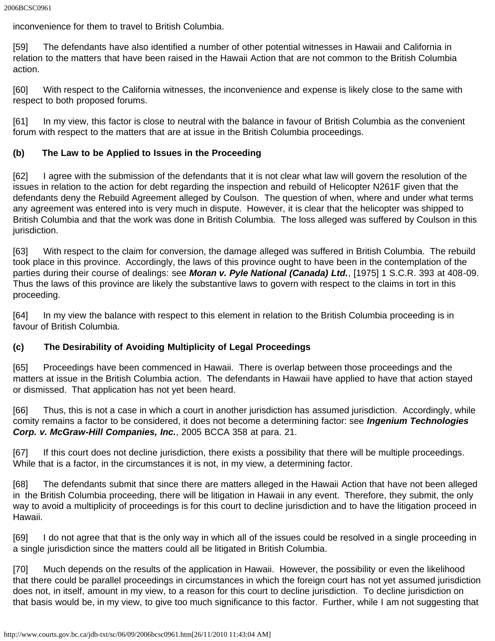inconvenience for them to travel to British Columbia.

[59] The defendants have also identified a number of other potential witnesses in Hawaii and California in relation to the matters that have been raised in the Hawaii Action that are not common to the British Columbia action.

[60] With respect to the California witnesses, the inconvenience and expense is likely close to the same with respect to both proposed forums.

[61] In my view, this factor is close to neutral with the balance in favour of British Columbia as the convenient forum with respect to the matters that are at issue in the British Columbia proceedings.

### **(b) The Law to be Applied to Issues in the Proceeding**

[62] I agree with the submission of the defendants that it is not clear what law will govern the resolution of the issues in relation to the action for debt regarding the inspection and rebuild of Helicopter N261F given that the defendants deny the Rebuild Agreement alleged by Coulson. The question of when, where and under what terms any agreement was entered into is very much in dispute. However, it is clear that the helicopter was shipped to British Columbia and that the work was done in British Columbia. The loss alleged was suffered by Coulson in this jurisdiction.

[63] With respect to the claim for conversion, the damage alleged was suffered in British Columbia. The rebuild took place in this province. Accordingly, the laws of this province ought to have been in the contemplation of the parties during their course of dealings: see *Moran v. Pyle National (Canada) Ltd.*, [1975] 1 S.C.R. 393 at 408-09. Thus the laws of this province are likely the substantive laws to govern with respect to the claims in tort in this proceeding.

[64] In my view the balance with respect to this element in relation to the British Columbia proceeding is in favour of British Columbia.

### **(c) The Desirability of Avoiding Multiplicity of Legal Proceedings**

[65] Proceedings have been commenced in Hawaii. There is overlap between those proceedings and the matters at issue in the British Columbia action. The defendants in Hawaii have applied to have that action stayed or dismissed. That application has not yet been heard.

[66] Thus, this is not a case in which a court in another jurisdiction has assumed jurisdiction. Accordingly, while comity remains a factor to be considered, it does not become a determining factor: see *Ingenium Technologies Corp. v. McGraw-Hill Companies, Inc.*, 2005 BCCA 358 at para. 21.

[67] If this court does not decline jurisdiction, there exists a possibility that there will be multiple proceedings. While that is a factor, in the circumstances it is not, in my view, a determining factor.

[68] The defendants submit that since there are matters alleged in the Hawaii Action that have not been alleged in the British Columbia proceeding, there will be litigation in Hawaii in any event. Therefore, they submit, the only way to avoid a multiplicity of proceedings is for this court to decline jurisdiction and to have the litigation proceed in Hawaii.

[69] I do not agree that that is the only way in which all of the issues could be resolved in a single proceeding in a single jurisdiction since the matters could all be litigated in British Columbia.

[70] Much depends on the results of the application in Hawaii. However, the possibility or even the likelihood that there could be parallel proceedings in circumstances in which the foreign court has not yet assumed jurisdiction does not, in itself, amount in my view, to a reason for this court to decline jurisdiction. To decline jurisdiction on that basis would be, in my view, to give too much significance to this factor. Further, while I am not suggesting that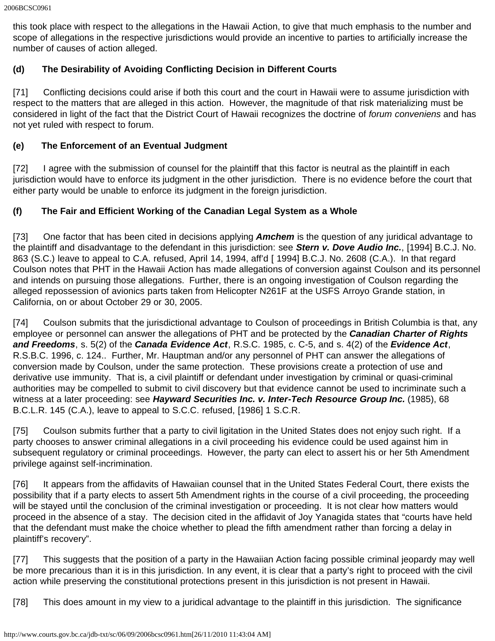this took place with respect to the allegations in the Hawaii Action, to give that much emphasis to the number and scope of allegations in the respective jurisdictions would provide an incentive to parties to artificially increase the number of causes of action alleged.

# **(d) The Desirability of Avoiding Conflicting Decision in Different Courts**

[71] Conflicting decisions could arise if both this court and the court in Hawaii were to assume jurisdiction with respect to the matters that are alleged in this action. However, the magnitude of that risk materializing must be considered in light of the fact that the District Court of Hawaii recognizes the doctrine of *forum conveniens* and has not yet ruled with respect to forum.

# **(e) The Enforcement of an Eventual Judgment**

[72] I agree with the submission of counsel for the plaintiff that this factor is neutral as the plaintiff in each jurisdiction would have to enforce its judgment in the other jurisdiction. There is no evidence before the court that either party would be unable to enforce its judgment in the foreign jurisdiction.

# **(f) The Fair and Efficient Working of the Canadian Legal System as a Whole**

[73] One factor that has been cited in decisions applying *Amchem* is the question of any juridical advantage to the plaintiff and disadvantage to the defendant in this jurisdiction: see *Stern v. Dove Audio Inc.*, [1994] B.C.J. No. 863 (S.C.) leave to appeal to C.A. refused, April 14, 1994, aff'd [ 1994] B.C.J. No. 2608 (C.A.). In that regard Coulson notes that PHT in the Hawaii Action has made allegations of conversion against Coulson and its personnel and intends on pursuing those allegations. Further, there is an ongoing investigation of Coulson regarding the alleged repossession of avionics parts taken from Helicopter N261F at the USFS Arroyo Grande station, in California, on or about October 29 or 30, 2005.

[74] Coulson submits that the jurisdictional advantage to Coulson of proceedings in British Columbia is that, any employee or personnel can answer the allegations of PHT and be protected by the *Canadian Charter of Rights and Freedoms*, s. 5(2) of the *Canada Evidence Act*, R.S.C. 1985, c. C-5, and s. 4(2) of the *Evidence Act*, R.S.B.C. 1996, c. 124.. Further, Mr. Hauptman and/or any personnel of PHT can answer the allegations of conversion made by Coulson, under the same protection. These provisions create a protection of use and derivative use immunity. That is, a civil plaintiff or defendant under investigation by criminal or quasi-criminal authorities may be compelled to submit to civil discovery but that evidence cannot be used to incriminate such a witness at a later proceeding: see *Hayward Securities Inc. v. Inter-Tech Resource Group Inc.* (1985), 68 B.C.L.R. 145 (C.A.), leave to appeal to S.C.C. refused, [1986] 1 S.C.R.

[75] Coulson submits further that a party to civil ligitation in the United States does not enjoy such right. If a party chooses to answer criminal allegations in a civil proceeding his evidence could be used against him in subsequent regulatory or criminal proceedings. However, the party can elect to assert his or her 5th Amendment privilege against self-incrimination.

[76] It appears from the affidavits of Hawaiian counsel that in the United States Federal Court, there exists the possibility that if a party elects to assert 5th Amendment rights in the course of a civil proceeding, the proceeding will be stayed until the conclusion of the criminal investigation or proceeding. It is not clear how matters would proceed in the absence of a stay. The decision cited in the affidavit of Joy Yanagida states that "courts have held that the defendant must make the choice whether to plead the fifth amendment rather than forcing a delay in plaintiff's recovery".

[77] This suggests that the position of a party in the Hawaiian Action facing possible criminal jeopardy may well be more precarious than it is in this jurisdiction. In any event, it is clear that a party's right to proceed with the civil action while preserving the constitutional protections present in this jurisdiction is not present in Hawaii.

[78] This does amount in my view to a juridical advantage to the plaintiff in this jurisdiction. The significance